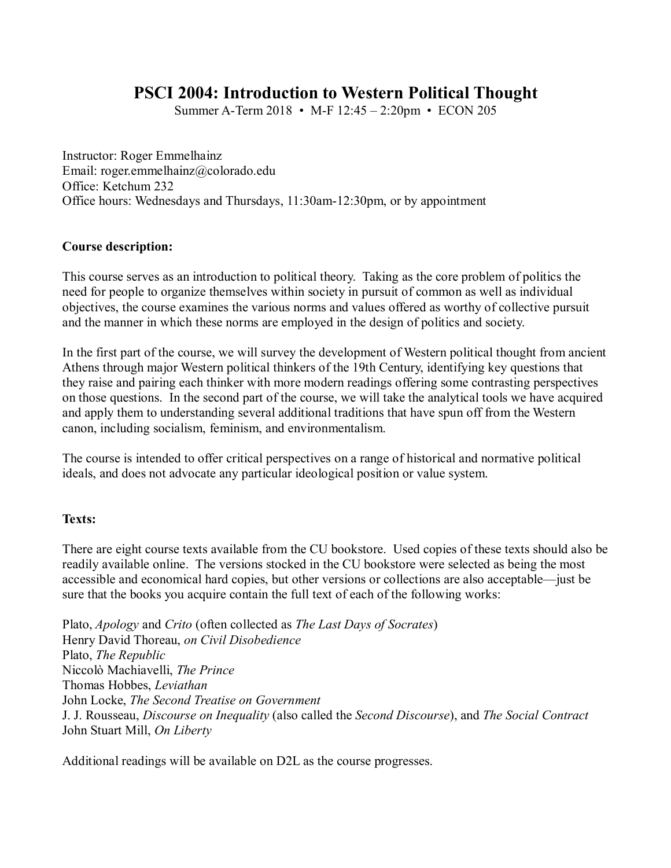# **PSCI 2004: Introduction to Western Political Thought**

Summer A-Term 2018 • M-F 12:45 – 2:20pm • ECON 205

Instructor: Roger Emmelhainz Email: roger.emmelhainz@colorado.edu Office: Ketchum 232 Office hours: Wednesdays and Thursdays, 11:30am-12:30pm, or by appointment

# **Course description:**

This course serves as an introduction to political theory. Taking as the core problem of politics the need for people to organize themselves within society in pursuit of common as well as individual objectives, the course examines the various norms and values offered as worthy of collective pursuit and the manner in which these norms are employed in the design of politics and society.

In the first part of the course, we will survey the development of Western political thought from ancient Athens through major Western political thinkers of the 19th Century, identifying key questions that they raise and pairing each thinker with more modern readings offering some contrasting perspectives on those questions. In the second part of the course, we will take the analytical tools we have acquired and apply them to understanding several additional traditions that have spun off from the Western canon, including socialism, feminism, and environmentalism.

The course is intended to offer critical perspectives on a range of historical and normative political ideals, and does not advocate any particular ideological position or value system.

# **Texts:**

There are eight course texts available from the CU bookstore. Used copies of these texts should also be readily available online. The versions stocked in the CU bookstore were selected as being the most accessible and economical hard copies, but other versions or collections are also acceptable—just be sure that the books you acquire contain the full text of each of the following works:

Plato, *Apology* and *Crito* (often collected as *The Last Days of Socrates*) Henry David Thoreau, *on Civil Disobedience* Plato, *The Republic* Niccolò Machiavelli, *The Prince* Thomas Hobbes, *Leviathan* John Locke, *The Second Treatise on Government* J. J. Rousseau, *Discourse on Inequality* (also called the *Second Discourse*), and *The Social Contract* John Stuart Mill, *On Liberty*

Additional readings will be available on D2L as the course progresses.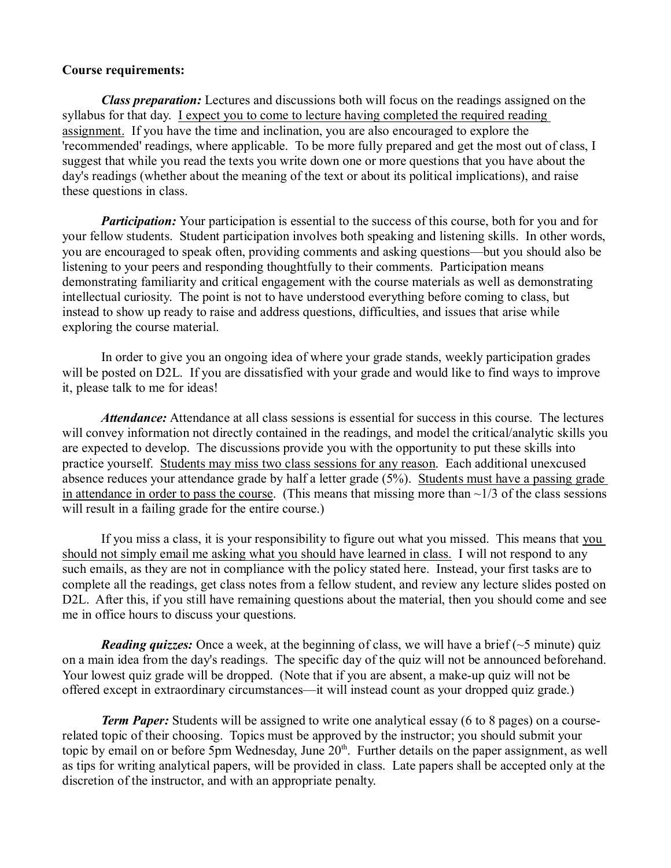### **Course requirements:**

*Class preparation:* Lectures and discussions both will focus on the readings assigned on the syllabus for that day. I expect you to come to lecture having completed the required reading assignment. If you have the time and inclination, you are also encouraged to explore the 'recommended' readings, where applicable. To be more fully prepared and get the most out of class, I suggest that while you read the texts you write down one or more questions that you have about the day's readings (whether about the meaning of the text or about its political implications), and raise these questions in class.

*Participation:* Your participation is essential to the success of this course, both for you and for your fellow students. Student participation involves both speaking and listening skills. In other words, you are encouraged to speak often, providing comments and asking questions—but you should also be listening to your peers and responding thoughtfully to their comments. Participation means demonstrating familiarity and critical engagement with the course materials as well as demonstrating intellectual curiosity. The point is not to have understood everything before coming to class, but instead to show up ready to raise and address questions, difficulties, and issues that arise while exploring the course material.

In order to give you an ongoing idea of where your grade stands, weekly participation grades will be posted on D2L. If you are dissatisfied with your grade and would like to find ways to improve it, please talk to me for ideas!

*Attendance:* Attendance at all class sessions is essential for success in this course. The lectures will convey information not directly contained in the readings, and model the critical/analytic skills you are expected to develop. The discussions provide you with the opportunity to put these skills into practice yourself. Students may miss two class sessions for any reason. Each additional unexcused absence reduces your attendance grade by half a letter grade (5%). Students must have a passing grade in attendance in order to pass the course. (This means that missing more than  $\sim$ 1/3 of the class sessions will result in a failing grade for the entire course.)

If you miss a class, it is your responsibility to figure out what you missed. This means that you should not simply email me asking what you should have learned in class. I will not respond to any such emails, as they are not in compliance with the policy stated here. Instead, your first tasks are to complete all the readings, get class notes from a fellow student, and review any lecture slides posted on D2L. After this, if you still have remaining questions about the material, then you should come and see me in office hours to discuss your questions.

*Reading quizzes:* Once a week, at the beginning of class, we will have a brief  $(\sim 5 \text{ minute})$  quiz on a main idea from the day's readings. The specific day of the quiz will not be announced beforehand. Your lowest quiz grade will be dropped. (Note that if you are absent, a make-up quiz will not be offered except in extraordinary circumstances—it will instead count as your dropped quiz grade.)

*Term Paper:* Students will be assigned to write one analytical essay (6 to 8 pages) on a courserelated topic of their choosing. Topics must be approved by the instructor; you should submit your topic by email on or before 5pm Wednesday, June 20<sup>th</sup>. Further details on the paper assignment, as well as tips for writing analytical papers, will be provided in class. Late papers shall be accepted only at the discretion of the instructor, and with an appropriate penalty.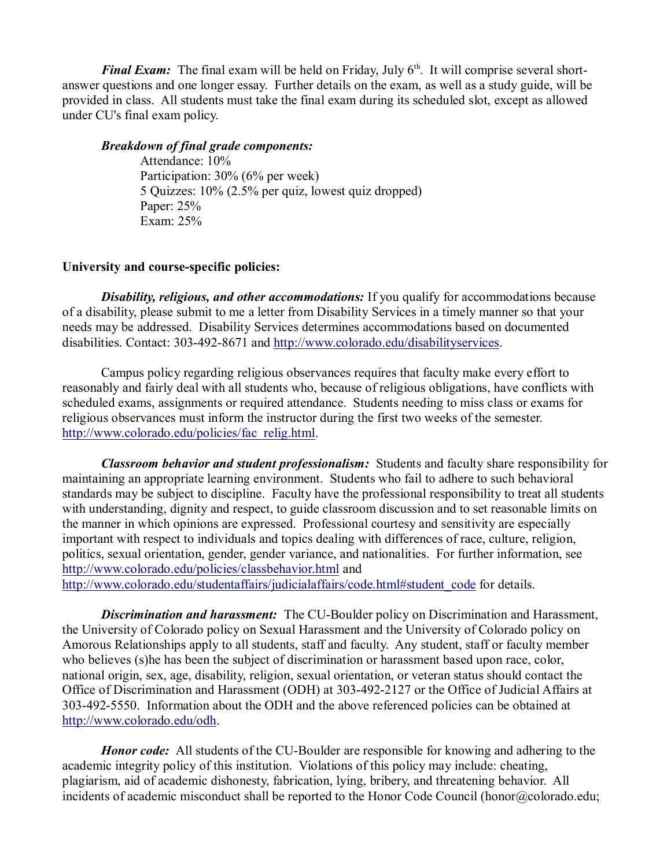*Final Exam:* The final exam will be held on Friday, July 6<sup>th</sup>. It will comprise several shortanswer questions and one longer essay. Further details on the exam, as well as a study guide, will be provided in class. All students must take the final exam during its scheduled slot, except as allowed under CU's final exam policy.

# *Breakdown of final grade components:*

Attendance: 10% Participation: 30% (6% per week) 5 Quizzes: 10% (2.5% per quiz, lowest quiz dropped) Paper: 25% Exam: 25%

# **University and course-specific policies:**

*Disability, religious, and other accommodations:* If you qualify for accommodations because of a disability, please submit to me a letter from Disability Services in a timely manner so that your needs may be addressed. Disability Services determines accommodations based on documented disabilities. Contact: 303-492-8671 and http://www.colorado.edu/disabilityservices.

Campus policy regarding religious observances requires that faculty make every effort to reasonably and fairly deal with all students who, because of religious obligations, have conflicts with scheduled exams, assignments or required attendance. Students needing to miss class or exams for religious observances must inform the instructor during the first two weeks of the semester. http://www.colorado.edu/policies/fac\_relig.html.

*Classroom behavior and student professionalism:* Students and faculty share responsibility for maintaining an appropriate learning environment. Students who fail to adhere to such behavioral standards may be subject to discipline. Faculty have the professional responsibility to treat all students with understanding, dignity and respect, to guide classroom discussion and to set reasonable limits on the manner in which opinions are expressed. Professional courtesy and sensitivity are especially important with respect to individuals and topics dealing with differences of race, culture, religion, politics, sexual orientation, gender, gender variance, and nationalities. For further information, see http://www.colorado.edu/policies/classbehavior.html and http://www.colorado.edu/studentaffairs/judicialaffairs/code.html#student\_code for details.

*Discrimination and harassment:* The CU-Boulder policy on Discrimination and Harassment, the University of Colorado policy on Sexual Harassment and the University of Colorado policy on Amorous Relationships apply to all students, staff and faculty. Any student, staff or faculty member who believes (s)he has been the subject of discrimination or harassment based upon race, color, national origin, sex, age, disability, religion, sexual orientation, or veteran status should contact the Office of Discrimination and Harassment (ODH) at 303-492-2127 or the Office of Judicial Affairs at 303-492-5550. Information about the ODH and the above referenced policies can be obtained at http://www.colorado.edu/odh.

*Honor code:* All students of the CU-Boulder are responsible for knowing and adhering to the academic integrity policy of this institution. Violations of this policy may include: cheating, plagiarism, aid of academic dishonesty, fabrication, lying, bribery, and threatening behavior. All incidents of academic misconduct shall be reported to the Honor Code Council (honor@colorado.edu;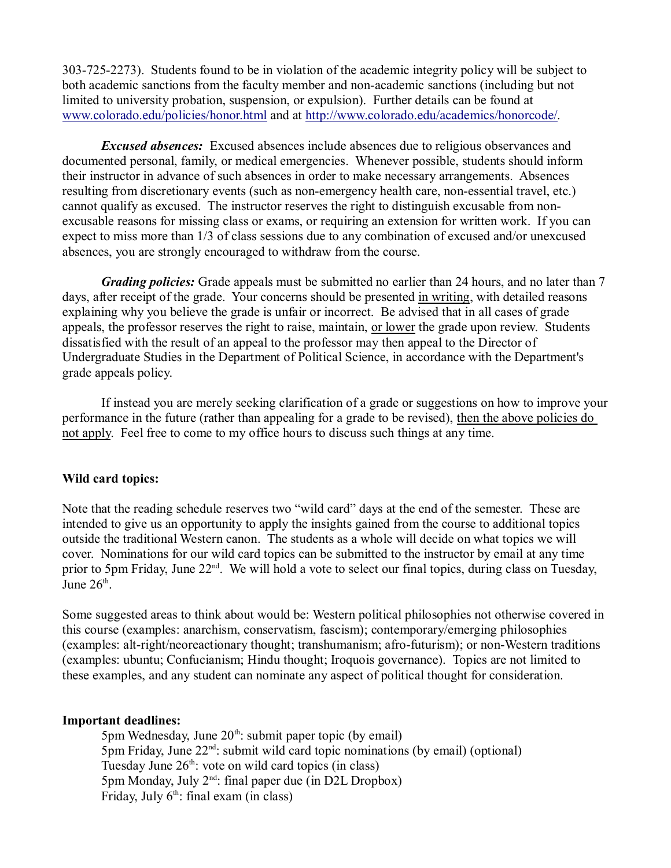303-725-2273). Students found to be in violation of the academic integrity policy will be subject to both academic sanctions from the faculty member and non-academic sanctions (including but not limited to university probation, suspension, or expulsion). Further details can be found at www.colorado.edu/policies/honor.html and at http://www.colorado.edu/academics/honorcode/.

*Excused absences:* Excused absences include absences due to religious observances and documented personal, family, or medical emergencies. Whenever possible, students should inform their instructor in advance of such absences in order to make necessary arrangements. Absences resulting from discretionary events (such as non-emergency health care, non-essential travel, etc.) cannot qualify as excused. The instructor reserves the right to distinguish excusable from nonexcusable reasons for missing class or exams, or requiring an extension for written work. If you can expect to miss more than 1/3 of class sessions due to any combination of excused and/or unexcused absences, you are strongly encouraged to withdraw from the course.

*Grading policies:* Grade appeals must be submitted no earlier than 24 hours, and no later than 7 days, after receipt of the grade. Your concerns should be presented in writing, with detailed reasons explaining why you believe the grade is unfair or incorrect. Be advised that in all cases of grade appeals, the professor reserves the right to raise, maintain, or lower the grade upon review. Students dissatisfied with the result of an appeal to the professor may then appeal to the Director of Undergraduate Studies in the Department of Political Science, in accordance with the Department's grade appeals policy.

If instead you are merely seeking clarification of a grade or suggestions on how to improve your performance in the future (rather than appealing for a grade to be revised), then the above policies do not apply. Feel free to come to my office hours to discuss such things at any time.

# **Wild card topics:**

Note that the reading schedule reserves two "wild card" days at the end of the semester. These are intended to give us an opportunity to apply the insights gained from the course to additional topics outside the traditional Western canon. The students as a whole will decide on what topics we will cover. Nominations for our wild card topics can be submitted to the instructor by email at any time prior to 5pm Friday, June 22<sup>nd</sup>. We will hold a vote to select our final topics, during class on Tuesday, June  $26<sup>th</sup>$ .

Some suggested areas to think about would be: Western political philosophies not otherwise covered in this course (examples: anarchism, conservatism, fascism); contemporary/emerging philosophies (examples: alt-right/neoreactionary thought; transhumanism; afro-futurism); or non-Western traditions (examples: ubuntu; Confucianism; Hindu thought; Iroquois governance). Topics are not limited to these examples, and any student can nominate any aspect of political thought for consideration.

### **Important deadlines:**

5pm Wednesday, June  $20<sup>th</sup>$ : submit paper topic (by email)  $5<sub>pm</sub>$  Friday, June  $22<sup>nd</sup>$ : submit wild card topic nominations (by email) (optional) Tuesday June  $26<sup>th</sup>$ : vote on wild card topics (in class) 5pm Monday, July  $2<sup>nd</sup>$ : final paper due (in D2L Dropbox) Friday, July  $6<sup>th</sup>$ : final exam (in class)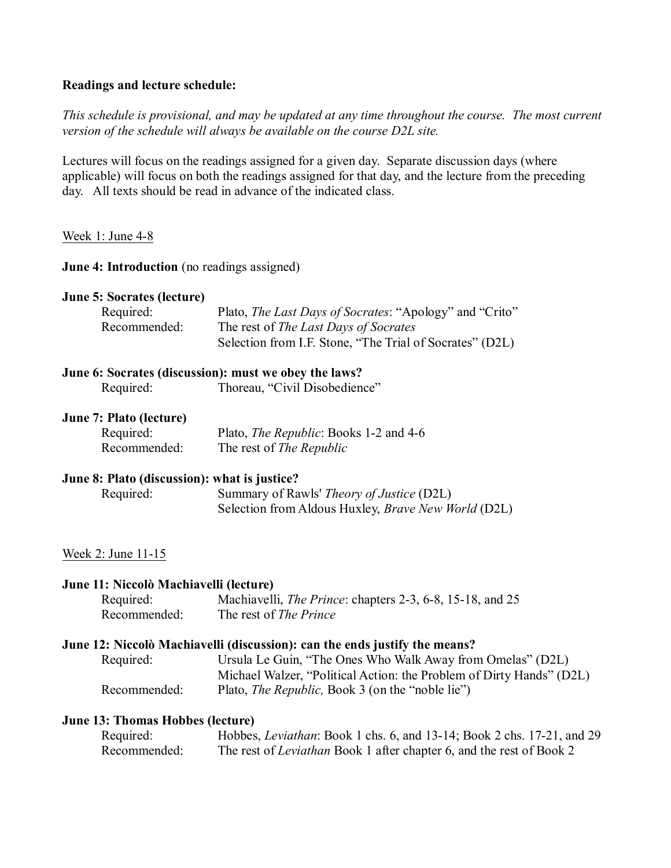# **Readings and lecture schedule:**

*This schedule is provisional, and may be updated at any time throughout the course. The most current version of the schedule will always be available on the course D2L site.*

Lectures will focus on the readings assigned for a given day. Separate discussion days (where applicable) will focus on both the readings assigned for that day, and the lecture from the preceding day. All texts should be read in advance of the indicated class.

# Week 1: June 4-8

**June 4: Introduction** (no readings assigned)

### **June 5: Socrates (lecture)**

| Required:    | Plato, <i>The Last Days of Socrates</i> : "Apology" and "Crito" |
|--------------|-----------------------------------------------------------------|
| Recommended: | The rest of <i>The Last Days of Socrates</i>                    |
|              | Selection from I.F. Stone, "The Trial of Socrates" (D2L)        |

# **June 6: Socrates (discussion): must we obey the laws?**

Required: Thoreau, "Civil Disobedience"

### **June 7: Plato (lecture)**

| Required:    | Plato, <i>The Republic</i> : Books 1-2 and 4-6 |
|--------------|------------------------------------------------|
| Recommended: | The rest of <i>The Republic</i>                |

### **June 8: Plato (discussion): what is justice?**

| Required: | Summary of Rawls' <i>Theory of Justice</i> (D2L)           |
|-----------|------------------------------------------------------------|
|           | Selection from Aldous Huxley, <i>Brave New World</i> (D2L) |

### Week 2: June 11-15

### **June 11: Niccolò Machiavelli (lecture)**

| Required:    | Machiavelli, <i>The Prince</i> : chapters 2-3, 6-8, 15-18, and 25 |
|--------------|-------------------------------------------------------------------|
| Recommended: | The rest of <i>The Prince</i>                                     |

### **June 12: Niccolò Machiavelli (discussion): can the ends justify the means?**

Required: Ursula Le Guin, "The Ones Who Walk Away from Omelas" (D2L) Michael Walzer, "Political Action: the Problem of Dirty Hands" (D2L) Recommended: Plato, *The Republic*, Book 3 (on the "noble lie")

### **June 13: Thomas Hobbes (lecture)**

| Required:    | Hobbes, <i>Leviathan</i> : Book 1 chs. 6, and 13-14; Book 2 chs. 17-21, and 29 |
|--------------|--------------------------------------------------------------------------------|
| Recommended: | The rest of <i>Leviathan</i> Book 1 after chapter 6, and the rest of Book 2    |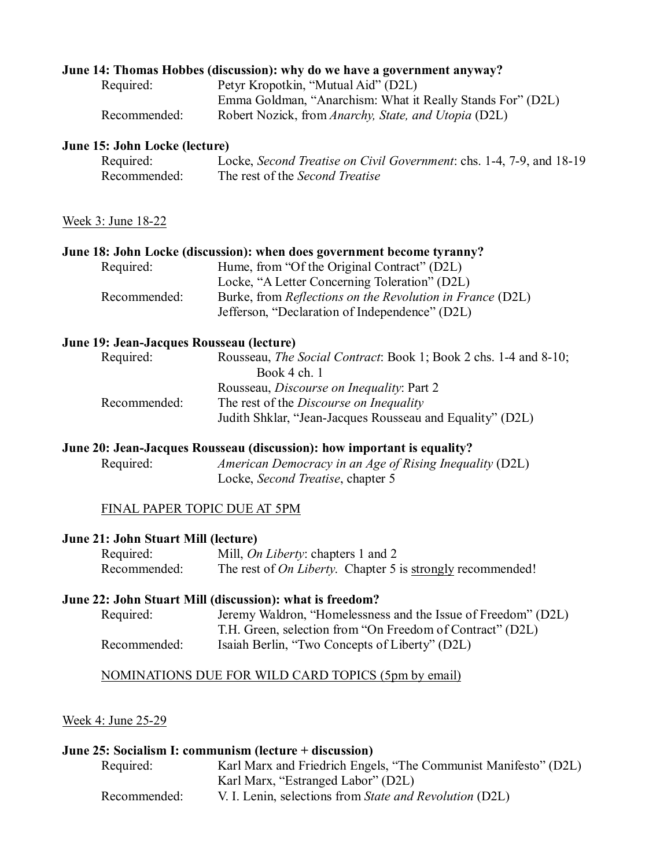# **June 14: Thomas Hobbes (discussion): why do we have a government anyway?**

| Required:    | Petyr Kropotkin, "Mutual Aid" (D2L)                        |
|--------------|------------------------------------------------------------|
|              | Emma Goldman, "Anarchism: What it Really Stands For" (D2L) |
| Recommended: | Robert Nozick, from Anarchy, State, and Utopia (D2L)       |

### **June 15: John Locke (lecture)**

| Required:    | Locke, Second Treatise on Civil Government: chs. 1-4, 7-9, and 18-19 |
|--------------|----------------------------------------------------------------------|
| Recommended: | The rest of the Second Treatise                                      |

# Week 3: June 18-22

### **June 18: John Locke (discussion): when does government become tyranny?**

| Required:    | Hume, from "Of the Original Contract" (D2L)                      |
|--------------|------------------------------------------------------------------|
|              | Locke, "A Letter Concerning Toleration" (D2L)                    |
| Recommended: | Burke, from <i>Reflections on the Revolution in France</i> (D2L) |
|              | Jefferson, "Declaration of Independence" (D2L)                   |

### **June 19: Jean-Jacques Rousseau (lecture)**

| Rousseau, <i>The Social Contract</i> : Book 1; Book 2 chs. 1-4 and 8-10; |
|--------------------------------------------------------------------------|
|                                                                          |
|                                                                          |
|                                                                          |
|                                                                          |
|                                                                          |

### **June 20: Jean-Jacques Rousseau (discussion): how important is equality?**

Required: *American Democracy in an Age of Rising Inequality* (D2L) Locke, *Second Treatise*, chapter 5

# FINAL PAPER TOPIC DUE AT 5PM

### **June 21: John Stuart Mill (lecture)**

| Required:    | Mill, <i>On Liberty</i> : chapters 1 and 2                                |
|--------------|---------------------------------------------------------------------------|
| Recommended: | The rest of <i>On Liberty</i> . Chapter 5 is <u>strongly</u> recommended! |

# **June 22: John Stuart Mill (discussion): what is freedom?**

| Required:    | Jeremy Waldron, "Homelessness and the Issue of Freedom" (D2L) |
|--------------|---------------------------------------------------------------|
|              | T.H. Green, selection from "On Freedom of Contract" (D2L)     |
| Recommended: | Isaiah Berlin, "Two Concepts of Liberty" (D2L)                |

### NOMINATIONS DUE FOR WILD CARD TOPICS (5pm by email)

#### Week 4: June 25-29

| June 25: Socialism I: communism (lecture + discussion) |                                                                 |
|--------------------------------------------------------|-----------------------------------------------------------------|
| Required:                                              | Karl Marx and Friedrich Engels, "The Communist Manifesto" (D2L) |
|                                                        | Karl Marx, "Estranged Labor" (D2L)                              |
| Recommended:                                           | V. I. Lenin, selections from State and Revolution (D2L)         |